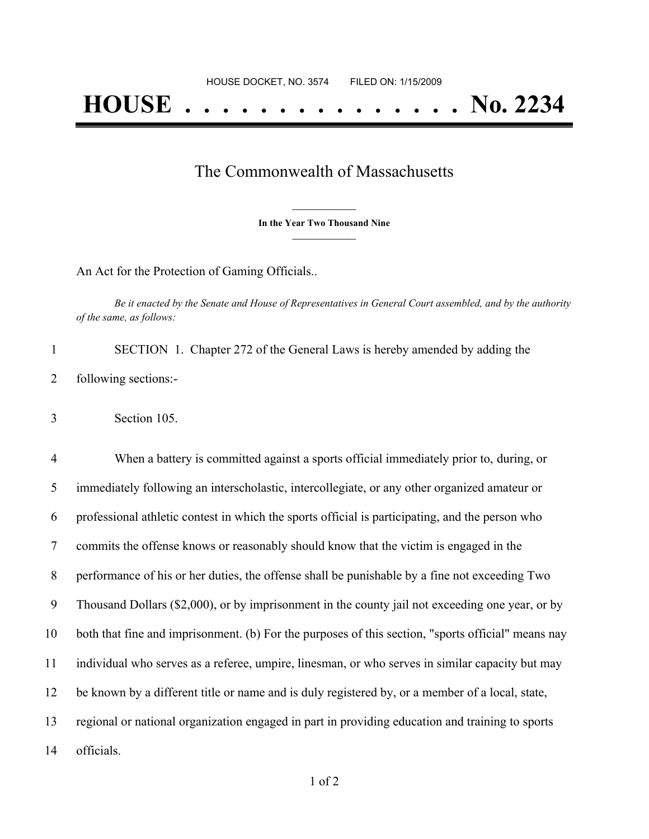## The Commonwealth of Massachusetts

**\_\_\_\_\_\_\_\_\_\_\_\_\_\_\_ In the Year Two Thousand Nine \_\_\_\_\_\_\_\_\_\_\_\_\_\_\_**

An Act for the Protection of Gaming Officials..

Be it enacted by the Senate and House of Representatives in General Court assembled, and by the authority *of the same, as follows:*

 SECTION 1. Chapter 272 of the General Laws is hereby amended by adding the following sections:-

Section 105.

 When a battery is committed against a sports official immediately prior to, during, or immediately following an interscholastic, intercollegiate, or any other organized amateur or professional athletic contest in which the sports official is participating, and the person who commits the offense knows or reasonably should know that the victim is engaged in the performance of his or her duties, the offense shall be punishable by a fine not exceeding Two Thousand Dollars (\$2,000), or by imprisonment in the county jail not exceeding one year, or by both that fine and imprisonment. (b) For the purposes of this section, "sports official" means nay individual who serves as a referee, umpire, linesman, or who serves in similar capacity but may be known by a different title or name and is duly registered by, or a member of a local, state, regional or national organization engaged in part in providing education and training to sports officials.